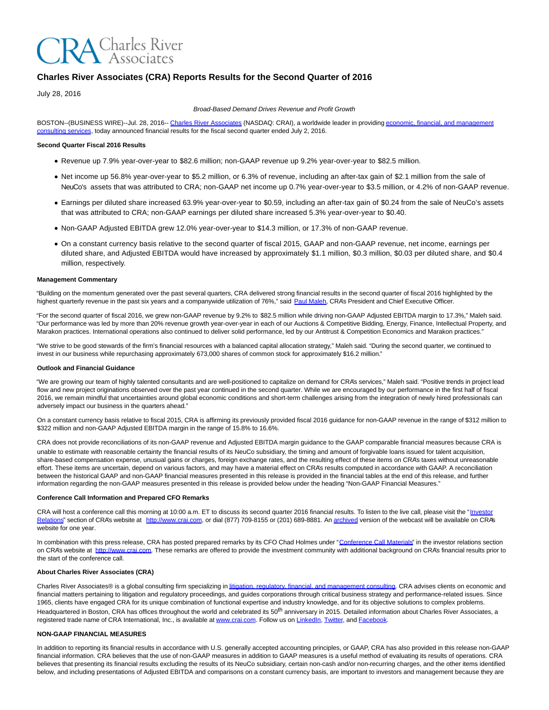

# **Charles River Associates (CRA) Reports Results for the Second Quarter of 2016**

July 28, 2016

Broad-Based Demand Drives Revenue and Profit Growth

BOSTON--(BUSINESS WIRE)--Jul. 28, 2016-[- Charles River Associates \(](http://cts.businesswire.com/ct/CT?id=smartlink&url=http%3A%2F%2Fwww.crai.com%2FDefault.aspx&esheet=51390066&newsitemid=20160728005787&lan=en-US&anchor=Charles+River+Associates&index=1&md5=fa96737521f8c1dd53de3b074814b4f5)NASDAQ: CRAI), a worldwide leader in providing [economic, financial, and management](http://cts.businesswire.com/ct/CT?id=smartlink&url=http%3A%2F%2Fwww.crai.com%2FConsultingExpertise%2FDefaultCustom.aspx&esheet=51390066&newsitemid=20160728005787&lan=en-US&anchor=economic%2C+financial%2C+and+management+consulting+services&index=2&md5=c8c9ea2d1d78138bc24ca9a406798c8b) consulting services, today announced financial results for the fiscal second quarter ended July 2, 2016.

### **Second Quarter Fiscal 2016 Results**

- Revenue up 7.9% year-over-year to \$82.6 million; non-GAAP revenue up 9.2% year-over-year to \$82.5 million.
- Net income up 56.8% year-over-year to \$5.2 million, or 6.3% of revenue, including an after-tax gain of \$2.1 million from the sale of NeuCo's assets that was attributed to CRA; non-GAAP net income up 0.7% year-over-year to \$3.5 million, or 4.2% of non-GAAP revenue.
- Earnings per diluted share increased 63.9% year-over-year to \$0.59, including an after-tax gain of \$0.24 from the sale of NeuCo's assets that was attributed to CRA; non-GAAP earnings per diluted share increased 5.3% year-over-year to \$0.40.
- Non-GAAP Adjusted EBITDA grew 12.0% year-over-year to \$14.3 million, or 17.3% of non-GAAP revenue.
- On a constant currency basis relative to the second quarter of fiscal 2015, GAAP and non-GAAP revenue, net income, earnings per diluted share, and Adjusted EBITDA would have increased by approximately \$1.1 million, \$0.3 million, \$0.03 per diluted share, and \$0.4 million, respectively.

#### **Management Commentary**

"Building on the momentum generated over the past several quarters, CRA delivered strong financial results in the second quarter of fiscal 2016 highlighted by the highest quarterly revenue in the past six years and a companywide utilization of 76%," said [Paul Maleh,](http://cts.businesswire.com/ct/CT?id=smartlink&url=http%3A%2F%2Fwww.crai.com%2Fexpert%2Fpaul-maleh&esheet=51390066&newsitemid=20160728005787&lan=en-US&anchor=Paul+Maleh&index=3&md5=93e0e86c95f22c74ccc858df941b0f54) CRA's President and Chief Executive Officer.

"For the second quarter of fiscal 2016, we grew non-GAAP revenue by 9.2% to \$82.5 million while driving non-GAAP Adjusted EBITDA margin to 17.3%," Maleh said. "Our performance was led by more than 20% revenue growth year-over-year in each of our Auctions & Competitive Bidding, Energy, Finance, Intellectual Property, and Marakon practices. International operations also continued to deliver solid performance, led by our Antitrust & Competition Economics and Marakon practices."

"We strive to be good stewards of the firm's financial resources with a balanced capital allocation strategy," Maleh said. "During the second quarter, we continued to invest in our business while repurchasing approximately 673,000 shares of common stock for approximately \$16.2 million."

#### **Outlook and Financial Guidance**

"We are growing our team of highly talented consultants and are well-positioned to capitalize on demand for CRA's services," Maleh said. "Positive trends in project lead flow and new project originations observed over the past year continued in the second quarter. While we are encouraged by our performance in the first half of fiscal 2016, we remain mindful that uncertainties around global economic conditions and short-term challenges arising from the integration of newly hired professionals can adversely impact our business in the quarters ahead."

On a constant currency basis relative to fiscal 2015, CRA is affirming its previously provided fiscal 2016 guidance for non-GAAP revenue in the range of \$312 million to \$322 million and non-GAAP Adjusted EBITDA margin in the range of 15.8% to 16.6%.

CRA does not provide reconciliations of its non-GAAP revenue and Adjusted EBITDA margin guidance to the GAAP comparable financial measures because CRA is unable to estimate with reasonable certainty the financial results of its NeuCo subsidiary, the timing and amount of forgivable loans issued for talent acquisition, share-based compensation expense, unusual gains or charges, foreign exchange rates, and the resulting effect of these items on CRA's taxes without unreasonable effort. These items are uncertain, depend on various factors, and may have a material effect on CRA's results computed in accordance with GAAP. A reconciliation between the historical GAAP and non-GAAP financial measures presented in this release is provided in the financial tables at the end of this release, and further information regarding the non-GAAP measures presented in this release is provided below under the heading "Non-GAAP Financial Measures."

#### **Conference Call Information and Prepared CFO Remarks**

CRA will host a conference call this morning at 10:00 a.m. ET to discuss its second quarter 2016 financial results. To listen to the live call, please visit the ["Investor](http://cts.businesswire.com/ct/CT?id=smartlink&url=http%3A%2F%2Fphx.corporate-ir.net%2Fphoenix.zhtml%3Fc%3D97435%26p%3Dirol-IRHome&esheet=51390066&newsitemid=20160728005787&lan=en-US&anchor=Investor+Relations&index=4&md5=b92f7357ee2b1e47a35f86aab3eece6b) Relations" section of CRA's website at [http://www.crai.com,](http://cts.businesswire.com/ct/CT?id=smartlink&url=http%3A%2F%2Fwww.crai.com%2FDefault.aspx&esheet=51390066&newsitemid=20160728005787&lan=en-US&anchor=http%3A%2F%2Fwww.crai.com&index=5&md5=a2965da94e45642412c99cf89ba95720) or dial (877) 709-8155 or (201) 689-8881. A[n archived v](http://cts.businesswire.com/ct/CT?id=smartlink&url=http%3A%2F%2Fphx.corporate-ir.net%2Fphoenix.zhtml%3Fc%3D97435%26p%3Dirol-calendarpast&esheet=51390066&newsitemid=20160728005787&lan=en-US&anchor=archived&index=6&md5=d106022a77a3ebda0702a1b86e1855ed)ersion of the webcast will be available on CRA's website for one year.

In combination with this press release, CRA has posted prepared remarks by its CFO Chad Holmes under ["Conference Call Materials"](http://cts.businesswire.com/ct/CT?id=smartlink&url=http%3A%2F%2Fphx.corporate-ir.net%2Fphoenix.zhtml%3Fc%3D97435%26p%3Dirol-presentations&esheet=51390066&newsitemid=20160728005787&lan=en-US&anchor=Conference+Call+Materials&index=7&md5=52842ee99c64e95744f757e365567b53) in the investor relations section on CRA's website at [http://www.crai.com.](http://cts.businesswire.com/ct/CT?id=smartlink&url=http%3A%2F%2Fwww.crai.com%2FDefault.aspx&esheet=51390066&newsitemid=20160728005787&lan=en-US&anchor=http%3A%2F%2Fwww.crai.com&index=8&md5=1fef5665ee823cdd581224c4a846da0f) These remarks are offered to provide the investment community with additional background on CRA's financial results prior to the start of the conference call.

### **About Charles River Associates (CRA)**

Charles River Associates® is a global consulting firm specializing i[n litigation, regulatory, financial, and management consulting.](http://cts.businesswire.com/ct/CT?id=smartlink&url=http%3A%2F%2Fwww.crai.com%2F&esheet=51390066&newsitemid=20160728005787&lan=en-US&anchor=litigation%2C+regulatory%2C+financial%2C+and+management+consulting&index=9&md5=b5d006bfafa9301c7d86eb74e8eb4438) CRA advises clients on economic and financial matters pertaining to litigation and regulatory proceedings, and guides corporations through critical business strategy and performance-related issues. Since 1965, clients have engaged CRA for its unique combination of functional expertise and industry knowledge, and for its objective solutions to complex problems. Headquartered in Boston, CRA has offices throughout the world and celebrated its 50<sup>th</sup> anniversary in 2015. Detailed information about Charles River Associates, a registered trade name of CRA International, Inc., is available a[t www.crai.com.](http://cts.businesswire.com/ct/CT?id=smartlink&url=http%3A%2F%2Fwww.crai.com&esheet=51390066&newsitemid=20160728005787&lan=en-US&anchor=www.crai.com&index=10&md5=caf358fa425211c23012ba8a8a3875f3) Follow us o[n LinkedIn,](http://cts.businesswire.com/ct/CT?id=smartlink&url=https%3A%2F%2Fwww.linkedin.com%2Fcompany%2Fcharles-river-associates&esheet=51390066&newsitemid=20160728005787&lan=en-US&anchor=LinkedIn&index=11&md5=1799875e0f0184f8ee02de9f927c4205) [Twitter,](http://cts.businesswire.com/ct/CT?id=smartlink&url=https%3A%2F%2Ftwitter.com%2FNews_CRA&esheet=51390066&newsitemid=20160728005787&lan=en-US&anchor=Twitter&index=12&md5=f5760d0fa12088f454e6c46bd6afc831) an[d Facebook.](http://cts.businesswire.com/ct/CT?id=smartlink&url=https%3A%2F%2Fwww.facebook.com%2FCharlesRiverAssociates&esheet=51390066&newsitemid=20160728005787&lan=en-US&anchor=Facebook&index=13&md5=f32bb7b131cabdf96c0650fba2fb788c)

#### **NON-GAAP FINANCIAL MEASURES**

In addition to reporting its financial results in accordance with U.S. generally accepted accounting principles, or GAAP, CRA has also provided in this release non-GAAP financial information. CRA believes that the use of non-GAAP measures in addition to GAAP measures is a useful method of evaluating its results of operations. CRA believes that presenting its financial results excluding the results of its NeuCo subsidiary, certain non-cash and/or non-recurring charges, and the other items identified below, and including presentations of Adjusted EBITDA and comparisons on a constant currency basis, are important to investors and management because they are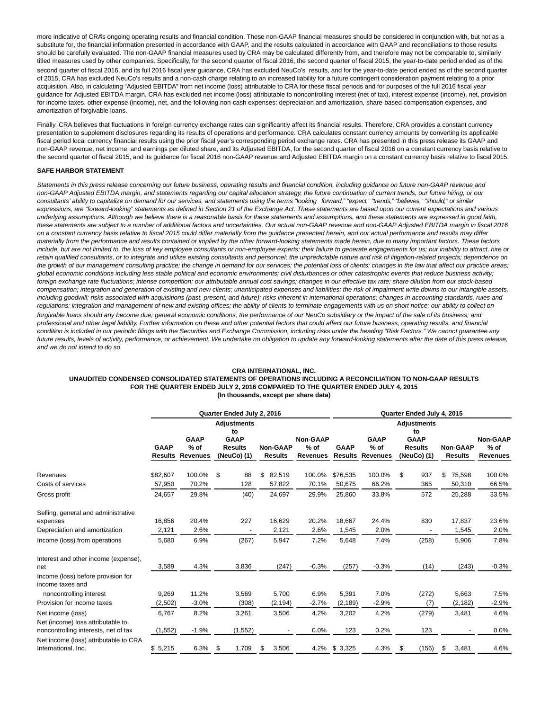more indicative of CRA's ongoing operating results and financial condition. These non-GAAP financial measures should be considered in conjunction with, but not as a substitute for, the financial information presented in accordance with GAAP, and the results calculated in accordance with GAAP and reconciliations to those results should be carefully evaluated. The non-GAAP financial measures used by CRA may be calculated differently from, and therefore may not be comparable to, similarly titled measures used by other companies. Specifically, for the second quarter of fiscal 2016, the second quarter of fiscal 2015, the year-to-date period ended as of the second quarter of fiscal 2016, and its full 2016 fiscal year guidance, CRA has excluded NeuCo's results, and for the year-to-date period ended as of the second quarter of 2015, CRA has excluded NeuCo's results and a non-cash charge relating to an increased liability for a future contingent consideration payment relating to a prior acquisition. Also, in calculating "Adjusted EBITDA" from net income (loss) attributable to CRA for these fiscal periods and for purposes of the full 2016 fiscal year guidance for Adjusted EBITDA margin, CRA has excluded net income (loss) attributable to noncontrolling interest (net of tax), interest expense (income), net, provision for income taxes, other expense (income), net, and the following non-cash expenses: depreciation and amortization, share-based compensation expenses, and amortization of forgivable loans.

Finally, CRA believes that fluctuations in foreign currency exchange rates can significantly affect its financial results. Therefore, CRA provides a constant currency presentation to supplement disclosures regarding its results of operations and performance. CRA calculates constant currency amounts by converting its applicable fiscal period local currency financial results using the prior fiscal year's corresponding period exchange rates. CRA has presented in this press release its GAAP and non-GAAP revenue, net income, and earnings per diluted share, and its Adjusted EBITDA, for the second quarter of fiscal 2016 on a constant currency basis relative to the second quarter of fiscal 2015, and its guidance for fiscal 2016 non-GAAP revenue and Adjusted EBITDA margin on a constant currency basis relative to fiscal 2015.

#### **SAFE HARBOR STATEMENT**

Statements in this press release concerning our future business, operating results and financial condition, including quidance on future non-GAAP revenue and non-GAAP Adjusted EBITDA margin, and statements regarding our capital allocation strategy, the future continuation of current trends, our future hiring, or our consultants' ability to capitalize on demand for our services, and statements using the terms "looking forward," "expect," "trends," "believes," "should," or similar expressions, are "forward-looking" statements as defined in Section 21 of the Exchange Act. These statements are based upon our current expectations and various underlying assumptions. Although we believe there is a reasonable basis for these statements and assumptions, and these statements are expressed in good faith, these statements are subject to a number of additional factors and uncertainties. Our actual non-GAAP revenue and non-GAAP Adjusted EBITDA margin in fiscal 2016 on a constant currency basis relative to fiscal 2015 could differ materially from the guidance presented herein, and our actual performance and results may differ materially from the performance and results contained or implied by the other forward-looking statements made herein, due to many important factors. These factors include, but are not limited to, the loss of key employee consultants or non-employee experts; their failure to generate engagements for us; our inability to attract, hire or retain qualified consultants, or to integrate and utilize existing consultants and personnel; the unpredictable nature and risk of litigation-related projects; dependence on the growth of our management consulting practice; the change in demand for our services; the potential loss of clients; changes in the law that affect our practice areas; global economic conditions including less stable political and economic environments; civil disturbances or other catastrophic events that reduce business activity; foreign exchange rate fluctuations; intense competition; our attributable annual cost savings; changes in our effective tax rate; share dilution from our stock-based compensation; integration and generation of existing and new clients; unanticipated expenses and liabilities; the risk of impairment write downs to our intangible assets, including goodwill; risks associated with acquisitions (past, present, and future); risks inherent in international operations; changes in accounting standards, rules and regulations; integration and management of new and existing offices; the ability of clients to terminate engagements with us on short notice; our ability to collect on forgivable loans should any become due; general economic conditions; the performance of our NeuCo subsidiary or the impact of the sale of its business; and professional and other legal liability. Further information on these and other potential factors that could affect our future business, operating results, and financial condition is included in our periodic filings with the Securities and Exchange Commission, including risks under the heading "Risk Factors." We cannot guarantee any future results, levels of activity, performance, or achievement. We undertake no obligation to update any forward-looking statements after the date of this press release, and we do not intend to do so.

#### **CRA INTERNATIONAL, INC.**

#### **UNAUDITED CONDENSED CONSOLIDATED STATEMENTS OF OPERATIONS INCLUDING A RECONCILIATION TO NON-GAAP RESULTS FOR THE QUARTER ENDED JULY 2, 2016 COMPARED TO THE QUARTER ENDED JULY 4, 2015 (In thousands, except per share data)**

|                                                                           |             |                                   | Quarter Ended July 2, 2016    |                                   | Quarter Ended July 4, 2015 |             |                                   |                               |                                   |                           |  |  |
|---------------------------------------------------------------------------|-------------|-----------------------------------|-------------------------------|-----------------------------------|----------------------------|-------------|-----------------------------------|-------------------------------|-----------------------------------|---------------------------|--|--|
|                                                                           |             |                                   | <b>Adjustments</b><br>to      |                                   | <b>Adjustments</b><br>to   |             |                                   |                               |                                   |                           |  |  |
|                                                                           |             | <b>GAAP</b>                       | <b>GAAP</b>                   |                                   | Non-GAAP                   |             | <b>GAAP</b>                       | <b>GAAP</b>                   |                                   | <b>Non-GAAP</b>           |  |  |
|                                                                           | <b>GAAP</b> | $%$ of<br><b>Results Revenues</b> | <b>Results</b><br>(NeuCo) (1) | <b>Non-GAAP</b><br><b>Results</b> | $%$ of<br><b>Revenues</b>  | <b>GAAP</b> | $%$ of<br><b>Results Revenues</b> | <b>Results</b><br>(NeuCo) (1) | <b>Non-GAAP</b><br><b>Results</b> | $%$ of<br><b>Revenues</b> |  |  |
| Revenues                                                                  | \$82,607    | 100.0%                            | \$<br>88                      | \$<br>82,519                      | 100.0%                     | \$76,535    | 100.0%                            | \$<br>937                     | \$<br>75,598                      | 100.0%                    |  |  |
| Costs of services                                                         | 57,950      | 70.2%                             | 128                           | 57,822                            | 70.1%                      | 50,675      | 66.2%                             | 365                           | 50,310                            | 66.5%                     |  |  |
| Gross profit                                                              | 24,657      | 29.8%                             | (40)                          | 24,697                            | 29.9%                      | 25,860      | 33.8%                             | 572                           | 25,288                            | 33.5%                     |  |  |
| Selling, general and administrative                                       |             |                                   |                               |                                   |                            |             |                                   |                               |                                   |                           |  |  |
| expenses                                                                  | 16,856      | 20.4%                             | 227                           | 16,629                            | 20.2%                      | 18,667      | 24.4%                             | 830                           | 17,837                            | 23.6%                     |  |  |
| Depreciation and amortization                                             | 2,121       | 2.6%                              |                               | 2,121                             | 2.6%                       | 1,545       | 2.0%                              |                               | 1,545                             | 2.0%                      |  |  |
| Income (loss) from operations                                             | 5,680       | 6.9%                              | (267)                         | 5,947                             | 7.2%                       | 5,648       | 7.4%                              | (258)                         | 5,906                             | 7.8%                      |  |  |
| Interest and other income (expense).<br>net                               | 3,589       | 4.3%                              | 3,836                         | (247)                             | $-0.3%$                    | (257)       | $-0.3%$                           | (14)                          | (243)                             | $-0.3%$                   |  |  |
| Income (loss) before provision for<br>income taxes and                    |             |                                   |                               |                                   |                            |             |                                   |                               |                                   |                           |  |  |
| noncontrolling interest                                                   | 9,269       | 11.2%                             | 3,569                         | 5,700                             | 6.9%                       | 5,391       | 7.0%                              | (272)                         | 5,663                             | 7.5%                      |  |  |
| Provision for income taxes                                                | (2,502)     | $-3.0%$                           | (308)                         | (2, 194)                          | $-2.7%$                    | (2, 189)    | $-2.9%$                           | (7)                           | (2, 182)                          | $-2.9%$                   |  |  |
| Net income (loss)                                                         | 6,767       | 8.2%                              | 3,261                         | 3,506                             | 4.2%                       | 3,202       | 4.2%                              | (279)                         | 3,481                             | 4.6%                      |  |  |
| Net (income) loss attributable to<br>noncontrolling interests, net of tax | (1, 552)    | $-1.9%$                           | (1, 552)                      |                                   | 0.0%                       | 123         | 0.2%                              | 123                           |                                   | 0.0%                      |  |  |
| Net income (loss) attributable to CRA<br>International, Inc.              | \$5,215     | 6.3%                              | -\$<br>1,709                  | 3,506<br>\$                       | 4.2%                       | \$3,325     | 4.3%                              | \$<br>(156)                   | 3,481<br>\$                       | 4.6%                      |  |  |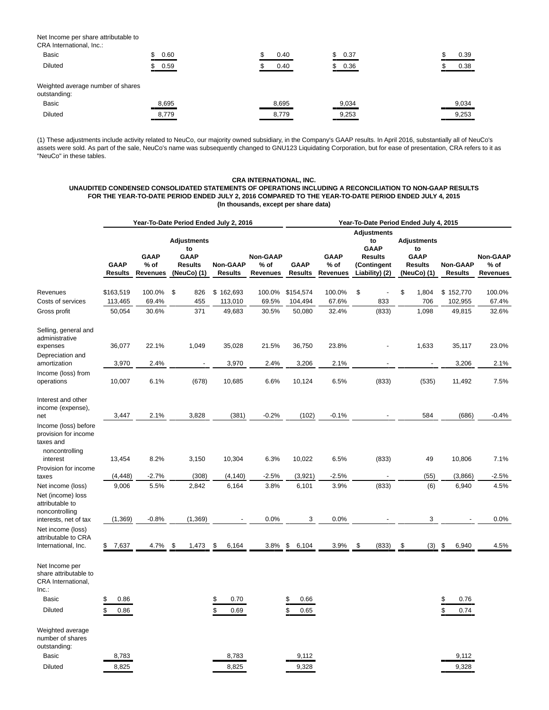Net Income per share attributable to

| CRA International, Inc.:                          |       |       |            |       |
|---------------------------------------------------|-------|-------|------------|-------|
| <b>Basic</b>                                      | 0.60  | 0.40  | 0.37<br>S. | 0.39  |
| <b>Diluted</b>                                    | 0.59  | 0.40  | 0.36       | 0.38  |
| Weighted average number of shares<br>outstanding: |       |       |            |       |
| <b>Basic</b>                                      | 8,695 | 8,695 | 9,034      | 9,034 |
| <b>Diluted</b>                                    | 8,779 | 8,779 | 9,253      | 9,253 |

(1) These adjustments include activity related to NeuCo, our majority owned subsidiary, in the Company's GAAP results. In April 2016, substantially all of NeuCo's assets were sold. As part of the sale, NeuCo's name was subsequently changed to GNU123 Liquidating Corporation, but for ease of presentation, CRA refers to it as "NeuCo" in these tables.

## **CRA INTERNATIONAL, INC.**

## **UNAUDITED CONDENSED CONSOLIDATED STATEMENTS OF OPERATIONS INCLUDING A RECONCILIATION TO NON-GAAP RESULTS FOR THE YEAR-TO-DATE PERIOD ENDED JULY 2, 2016 COMPARED TO THE YEAR-TO-DATE PERIOD ENDED JULY 4, 2015 (In thousands, except per share data)**

|                                                                                         |                               |                                          | Year-To-Date Period Ended July 2, 2016                                   |                                   |                                       | Year-To-Date Period Ended July 4, 2015 |                                          |                                                                                            |                                                                   |                            |                                       |  |  |
|-----------------------------------------------------------------------------------------|-------------------------------|------------------------------------------|--------------------------------------------------------------------------|-----------------------------------|---------------------------------------|----------------------------------------|------------------------------------------|--------------------------------------------------------------------------------------------|-------------------------------------------------------------------|----------------------------|---------------------------------------|--|--|
|                                                                                         | <b>GAAP</b><br><b>Results</b> | <b>GAAP</b><br>$%$ of<br><b>Revenues</b> | <b>Adjustments</b><br>to<br><b>GAAP</b><br><b>Results</b><br>(NeuCo) (1) | <b>Non-GAAP</b><br><b>Results</b> | Non-GAAP<br>$%$ of<br><b>Revenues</b> | <b>GAAP</b><br><b>Results</b>          | <b>GAAP</b><br>$%$ of<br><b>Revenues</b> | <b>Adjustments</b><br>to<br><b>GAAP</b><br><b>Results</b><br>(Contingent<br>Liability) (2) | <b>Adjustments</b><br>to<br>GAAP<br><b>Results</b><br>(NeuCo) (1) | Non-GAAP<br><b>Results</b> | <b>Non-GAAP</b><br>$%$ of<br>Revenues |  |  |
| Revenues                                                                                | \$163,519                     | 100.0%                                   | \$<br>826                                                                | \$162,693                         | 100.0%                                | \$154,574                              | 100.0%                                   | \$                                                                                         | \$<br>1,804                                                       | \$152,770                  | 100.0%                                |  |  |
| Costs of services                                                                       | 113,465                       | 69.4%                                    | 455                                                                      | 113,010                           | 69.5%                                 | 104,494                                | 67.6%                                    | 833                                                                                        | 706                                                               | 102,955                    | 67.4%                                 |  |  |
| Gross profit                                                                            | 50,054                        | 30.6%                                    | 371                                                                      | 49,683                            | 30.5%                                 | 50,080                                 | 32.4%                                    | (833)                                                                                      | 1,098                                                             | 49,815                     | 32.6%                                 |  |  |
| Selling, general and<br>administrative<br>expenses                                      | 36,077                        | 22.1%                                    | 1,049                                                                    | 35,028                            | 21.5%                                 | 36,750                                 | 23.8%                                    |                                                                                            | 1,633                                                             | 35,117                     | 23.0%                                 |  |  |
| Depreciation and                                                                        |                               |                                          |                                                                          |                                   |                                       |                                        |                                          |                                                                                            |                                                                   |                            |                                       |  |  |
| amortization                                                                            | 3,970                         | 2.4%                                     |                                                                          | 3,970                             | 2.4%                                  | 3,206                                  | 2.1%                                     |                                                                                            |                                                                   | 3,206                      | 2.1%                                  |  |  |
| Income (loss) from<br>operations                                                        | 10,007                        | 6.1%                                     | (678)                                                                    | 10,685                            | 6.6%                                  | 10,124                                 | 6.5%                                     | (833)                                                                                      | (535)                                                             | 11,492                     | 7.5%                                  |  |  |
| Interest and other<br>income (expense),<br>net                                          | 3,447                         | 2.1%                                     | 3,828                                                                    | (381)                             | $-0.2%$                               | (102)                                  | $-0.1%$                                  |                                                                                            | 584                                                               | (686)                      | $-0.4%$                               |  |  |
| Income (loss) before<br>provision for income<br>taxes and<br>noncontrolling<br>interest | 13,454                        | 8.2%                                     | 3,150                                                                    | 10,304                            | 6.3%                                  | 10,022                                 | 6.5%                                     | (833)                                                                                      | 49                                                                | 10,806                     | 7.1%                                  |  |  |
| Provision for income                                                                    |                               |                                          |                                                                          |                                   |                                       |                                        |                                          |                                                                                            |                                                                   |                            |                                       |  |  |
| taxes                                                                                   | (4, 448)                      | $-2.7%$                                  | (308)                                                                    | (4, 140)                          | $-2.5%$                               | (3,921)                                | $-2.5%$                                  |                                                                                            | (55)                                                              | (3,866)                    | $-2.5%$                               |  |  |
| Net income (loss)<br>Net (income) loss<br>attributable to<br>noncontrolling             | 9,006                         | 5.5%                                     | 2,842                                                                    | 6,164                             | 3.8%                                  | 6,101                                  | 3.9%                                     | (833)                                                                                      | (6)                                                               | 6,940                      | 4.5%                                  |  |  |
| interests, net of tax<br>Net income (loss)                                              | (1, 369)                      | $-0.8%$                                  | (1,369)                                                                  |                                   | 0.0%                                  | 3                                      | 0.0%                                     |                                                                                            | 3                                                                 |                            | 0.0%                                  |  |  |
| attributable to CRA<br>International, Inc.                                              | \$7,637                       | 4.7%                                     | \$<br>1,473                                                              | \$<br>6,164                       | 3.8%                                  | \$<br>6,104                            | 3.9%                                     | \$<br>(833)                                                                                | \$<br>(3)                                                         | 6,940<br>\$                | 4.5%                                  |  |  |
| Net Income per<br>share attributable to<br>CRA International,<br>Inc.:                  |                               |                                          |                                                                          |                                   |                                       |                                        |                                          |                                                                                            |                                                                   |                            |                                       |  |  |
| <b>Basic</b>                                                                            | 0.86<br>\$                    |                                          |                                                                          | 0.70<br>\$                        |                                       | \$<br>0.66                             |                                          |                                                                                            |                                                                   | \$<br>0.76                 |                                       |  |  |
| <b>Diluted</b>                                                                          | \$<br>0.86                    |                                          |                                                                          | \$<br>0.69                        |                                       | \$<br>0.65                             |                                          |                                                                                            |                                                                   | \$<br>0.74                 |                                       |  |  |
| Weighted average<br>number of shares<br>outstanding:                                    |                               |                                          |                                                                          |                                   |                                       |                                        |                                          |                                                                                            |                                                                   |                            |                                       |  |  |
| <b>Basic</b>                                                                            | 8,783                         |                                          |                                                                          | 8,783                             |                                       | 9,112                                  |                                          |                                                                                            |                                                                   | 9,112                      |                                       |  |  |
| <b>Diluted</b>                                                                          | 8,825                         |                                          |                                                                          | 8,825                             |                                       | 9,328                                  |                                          |                                                                                            |                                                                   | 9,328                      |                                       |  |  |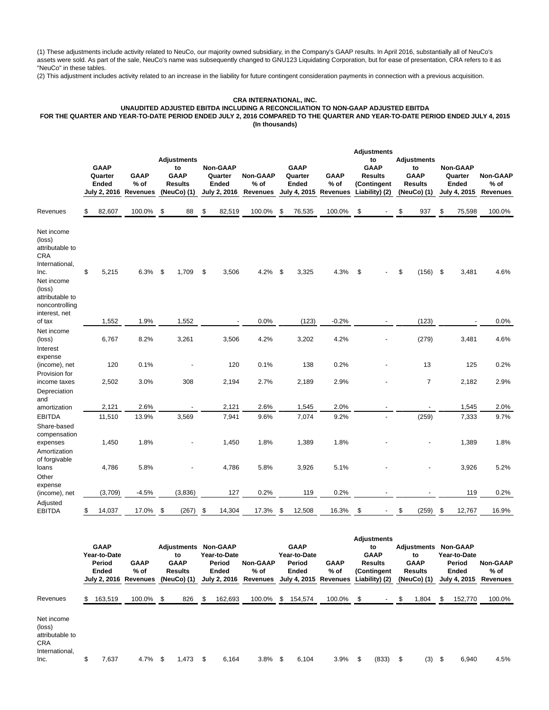(1) These adjustments include activity related to NeuCo, our majority owned subsidiary, in the Company's GAAP results. In April 2016, substantially all of NeuCo's assets were sold. As part of the sale, NeuCo's name was subsequently changed to GNU123 Liquidating Corporation, but for ease of presentation, CRA refers to it as "NeuCo" in these tables.

(2) This adjustment includes activity related to an increase in the liability for future contingent consideration payments in connection with a previous acquisition.

# **CRA INTERNATIONAL, INC.**

# **UNAUDITED ADJUSTED EBITDA INCLUDING A RECONCILIATION TO NON-GAAP ADJUSTED EBITDA**

**FOR THE QUARTER AND YEAR-TO-DATE PERIOD ENDED JULY 2, 2016 COMPARED TO THE QUARTER AND YEAR-TO-DATE PERIOD ENDED JULY 4, 2015 (In thousands)**

|                                                                                                                                              | <b>GAAP</b><br>Quarter<br>Ended<br>July 2, 2016 | <b>GAAP</b><br>$%$ of<br><b>Revenues</b> | <b>Adjustments</b><br>to<br><b>GAAP</b><br><b>Results</b><br>(NeuCo) (1) | <b>Non-GAAP</b><br>Quarter<br><b>Ended</b><br>July 2, 2016 | Non-GAAP<br>$%$ of<br><b>Revenues</b> | <b>GAAP</b><br>Quarter<br><b>Ended</b><br>July 4, 2015 | <b>GAAP</b><br>$%$ of<br><b>Revenues</b> | <b>Adjustments</b><br>to<br><b>GAAP</b><br><b>Results</b><br>(Contingent<br>Liability) (2) | <b>Adjustments</b><br>to<br><b>GAAP</b><br><b>Results</b><br>(NeuCo) (1) | <b>Non-GAAP</b><br>Quarter<br><b>Ended</b><br>July 4, 2015 | <b>Non-GAAP</b><br>$%$ of<br><b>Revenues</b> |
|----------------------------------------------------------------------------------------------------------------------------------------------|-------------------------------------------------|------------------------------------------|--------------------------------------------------------------------------|------------------------------------------------------------|---------------------------------------|--------------------------------------------------------|------------------------------------------|--------------------------------------------------------------------------------------------|--------------------------------------------------------------------------|------------------------------------------------------------|----------------------------------------------|
| Revenues                                                                                                                                     | \$<br>82,607                                    | 100.0%                                   | \$<br>88                                                                 | \$<br>82,519                                               | 100.0%                                | \$<br>76,535                                           | 100.0%                                   | \$                                                                                         | \$<br>937                                                                | \$<br>75,598                                               | 100.0%                                       |
| Net income<br>(loss)<br>attributable to<br><b>CRA</b><br>International,<br>Inc.<br>Net income<br>(loss)<br>attributable to<br>noncontrolling | \$<br>5,215                                     | 6.3%                                     | \$<br>1,709                                                              | \$<br>3,506                                                | 4.2%                                  | \$<br>3,325                                            | 4.3%                                     | \$                                                                                         | \$<br>(156)                                                              | \$<br>3,481                                                | 4.6%                                         |
| interest, net<br>of tax                                                                                                                      | 1,552                                           | 1.9%                                     | 1,552                                                                    |                                                            | 0.0%                                  | (123)                                                  | $-0.2%$                                  |                                                                                            | (123)                                                                    |                                                            | 0.0%                                         |
| Net income<br>(loss)<br>Interest                                                                                                             | 6,767                                           | 8.2%                                     | 3,261                                                                    | 3,506                                                      | 4.2%                                  | 3,202                                                  | 4.2%                                     |                                                                                            | (279)                                                                    | 3,481                                                      | 4.6%                                         |
| expense<br>(income), net<br>Provision for                                                                                                    | 120                                             | 0.1%                                     |                                                                          | 120                                                        | 0.1%                                  | 138                                                    | 0.2%                                     |                                                                                            | 13                                                                       | 125                                                        | 0.2%                                         |
| income taxes<br>Depreciation<br>and                                                                                                          | 2,502                                           | 3.0%                                     | 308                                                                      | 2,194                                                      | 2.7%                                  | 2,189                                                  | 2.9%                                     |                                                                                            | $\overline{7}$                                                           | 2,182                                                      | 2.9%                                         |
| amortization                                                                                                                                 | 2,121                                           | 2.6%                                     |                                                                          | 2,121                                                      | 2.6%                                  | 1,545                                                  | 2.0%                                     |                                                                                            |                                                                          | 1,545                                                      | 2.0%                                         |
| <b>EBITDA</b><br>Share-based<br>compensation                                                                                                 | 11,510                                          | 13.9%                                    | 3,569                                                                    | 7,941                                                      | 9.6%                                  | 7,074                                                  | 9.2%                                     |                                                                                            | (259)                                                                    | 7,333                                                      | 9.7%                                         |
| expenses<br>Amortization                                                                                                                     | 1,450                                           | 1.8%                                     |                                                                          | 1,450                                                      | 1.8%                                  | 1,389                                                  | 1.8%                                     |                                                                                            |                                                                          | 1,389                                                      | 1.8%                                         |
| of forgivable<br>loans<br>Other                                                                                                              | 4,786                                           | 5.8%                                     |                                                                          | 4,786                                                      | 5.8%                                  | 3,926                                                  | 5.1%                                     |                                                                                            |                                                                          | 3,926                                                      | 5.2%                                         |
| expense<br>(income), net                                                                                                                     | (3,709)                                         | $-4.5%$                                  | (3,836)                                                                  | 127                                                        | 0.2%                                  | 119                                                    | 0.2%                                     |                                                                                            |                                                                          | 119                                                        | 0.2%                                         |
| Adjusted<br><b>EBITDA</b>                                                                                                                    | \$<br>14,037                                    | 17.0%                                    | \$<br>(267)                                                              | \$<br>14,304                                               | 17.3%                                 | \$<br>12,508                                           | 16.3%                                    | \$                                                                                         | \$<br>(259)                                                              | \$<br>12,767                                               | 16.9%                                        |

|                                                                                 | <b>GAAP</b><br>Year-to-Date<br>Period<br>Ended | <b>GAAP</b><br>% of<br>July 2, 2016 Revenues | <b>Adjustments Non-GAAP</b><br>to<br><b>GAAP</b><br><b>Results</b><br>(NeuCo) (1) | Year-to-Date<br>Period<br>Ended<br>July 2, 2016 | <b>Non-GAAP</b><br>% of<br>Revenues July 4, 2015 Revenues Liability) (2) |     | <b>GAAP</b><br>Year-to-Date<br>Period<br><b>Ended</b> | <b>GAAP</b><br>% of | <b>Adjustments</b><br>to<br><b>GAAP</b><br><b>Results</b><br>(Contingent | Adjustments<br>to<br><b>GAAP</b><br><b>Results</b><br>(NeuCo) (1) | <b>Non-GAAP</b><br>Year-to-Date<br>Period<br><b>Ended</b><br>July 4, 2015 | <b>Non-GAAP</b><br>$%$ of<br>Revenues |
|---------------------------------------------------------------------------------|------------------------------------------------|----------------------------------------------|-----------------------------------------------------------------------------------|-------------------------------------------------|--------------------------------------------------------------------------|-----|-------------------------------------------------------|---------------------|--------------------------------------------------------------------------|-------------------------------------------------------------------|---------------------------------------------------------------------------|---------------------------------------|
| Revenues                                                                        | 163,519                                        | 100.0% \$                                    | 826                                                                               | 162,693                                         | 100.0%                                                                   | \$. | 154,574                                               | 100.0%              |                                                                          | \$<br>0.804                                                       | \$<br>152,770                                                             | 100.0%                                |
| Net income<br>(loss)<br>attributable to<br><b>CRA</b><br>International,<br>Inc. | \$<br>7,637                                    | 4.7%                                         | \$<br>1.473                                                                       | \$<br>6,164                                     | 3.8%                                                                     | \$  | 6,104                                                 | 3.9%                | \$<br>(833)                                                              | \$<br>(3)                                                         | \$<br>6,940                                                               | 4.5%                                  |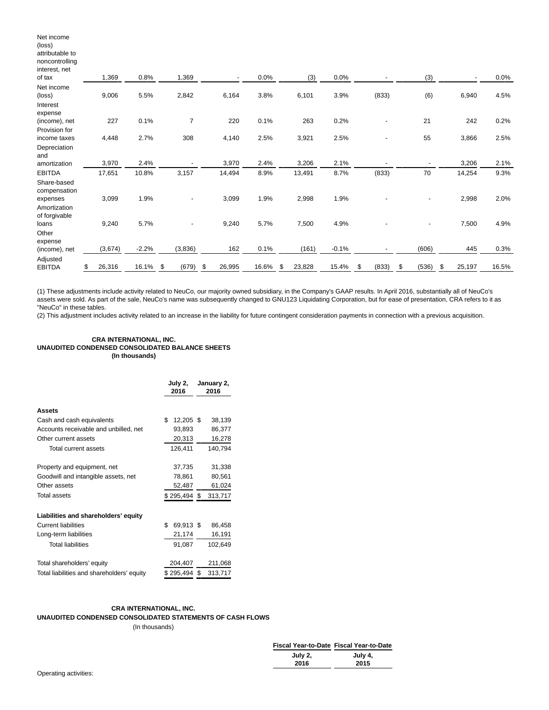| Net income<br>(loss)<br>attributable to<br>noncontrolling |              |         |                |              |       |              |             |             |             |              |       |
|-----------------------------------------------------------|--------------|---------|----------------|--------------|-------|--------------|-------------|-------------|-------------|--------------|-------|
| interest, net<br>of tax                                   | 1,369        | 0.8%    | 1,369          |              | 0.0%  |              | 0.0%<br>(3) |             | (3)         |              | 0.0%  |
| Net income<br>(loss)<br>Interest                          | 9,006        | 5.5%    | 2,842          | 6,164        | 3.8%  | 6,101        | 3.9%        | (833)       | (6)         | 6,940        | 4.5%  |
| expense<br>(income), net                                  | 227          | 0.1%    | $\overline{7}$ | 220          | 0.1%  | 263          | 0.2%        |             | 21          | 242          | 0.2%  |
| Provision for<br>income taxes                             | 4,448        | 2.7%    | 308            | 4,140        | 2.5%  | 3,921        | 2.5%        |             | 55          | 3,866        | 2.5%  |
| Depreciation<br>and                                       |              |         |                |              |       |              |             |             |             |              |       |
| amortization                                              | 3,970        | 2.4%    |                | 3,970        | 2.4%  | 3,206        | 2.1%        |             |             | 3,206        | 2.1%  |
| <b>EBITDA</b>                                             | 17,651       | 10.8%   | 3,157          | 14,494       | 8.9%  | 13,491       | 8.7%        | (833)       | 70          | 14,254       | 9.3%  |
| Share-based<br>compensation                               |              |         |                |              |       |              |             |             |             |              |       |
| expenses<br>Amortization<br>of forgivable                 | 3,099        | 1.9%    |                | 3,099        | 1.9%  | 2,998        | 1.9%        |             |             | 2,998        | 2.0%  |
| loans<br>Other                                            | 9,240        | 5.7%    |                | 9,240        | 5.7%  | 7,500        | 4.9%        |             |             | 7,500        | 4.9%  |
| expense<br>(income), net                                  | (3,674)      | $-2.2%$ | (3,836)        | 162          | 0.1%  | (161)        | $-0.1%$     |             | (606)       | 445          | 0.3%  |
| Adjusted<br><b>EBITDA</b>                                 | \$<br>26,316 | 16.1%   | \$<br>(679)    | \$<br>26,995 | 16.6% | \$<br>23,828 | 15.4%       | \$<br>(833) | \$<br>(536) | \$<br>25,197 | 16.5% |

(1) These adjustments include activity related to NeuCo, our majority owned subsidiary, in the Company's GAAP results. In April 2016, substantially all of NeuCo's assets were sold. As part of the sale, NeuCo's name was subsequently changed to GNU123 Liquidating Corporation, but for ease of presentation, CRA refers to it as "NeuCo" in these tables.

(2) This adjustment includes activity related to an increase in the liability for future contingent consideration payments in connection with a previous acquisition.

## **CRA INTERNATIONAL, INC. UNAUDITED CONDENSED CONSOLIDATED BALANCE SHEETS (In thousands)**

|                                            | July 2,<br>2016 | January 2,<br>2016 |
|--------------------------------------------|-----------------|--------------------|
| <b>Assets</b>                              |                 |                    |
| Cash and cash equivalents                  | \$<br>12,205 \$ | 38,139             |
| Accounts receivable and unbilled, net      | 93,893          | 86,377             |
| Other current assets                       | 20,313          | 16,278             |
| Total current assets                       | 126,411         | 140,794            |
| Property and equipment, net                | 37,735          | 31,338             |
| Goodwill and intangible assets, net        | 78,861          | 80,561             |
| Other assets                               | 52,487          | 61,024             |
| Total assets                               | \$295,494\$     | 313,717            |
| Liabilities and shareholders' equity       |                 |                    |
| <b>Current liabilities</b>                 | \$<br>69,913 \$ | 86,458             |
| Long-term liabilities                      | 21,174          | 16,191             |
| <b>Total liabilities</b>                   | 91,087          | 102,649            |
| Total shareholders' equity                 | 204,407         | 211,068            |
| Total liabilities and shareholders' equity | \$295,494\$     | 313,717            |

# **CRA INTERNATIONAL, INC.**

**UNAUDITED CONDENSED CONSOLIDATED STATEMENTS OF CASH FLOWS**

(In thousands)

| Fiscal Year-to-Date Fiscal Year-to-Date |         |
|-----------------------------------------|---------|
| July 2,                                 | July 4, |
| 2016                                    | 2015    |
|                                         |         |

|  | Operating activities: |  |
|--|-----------------------|--|
|  |                       |  |